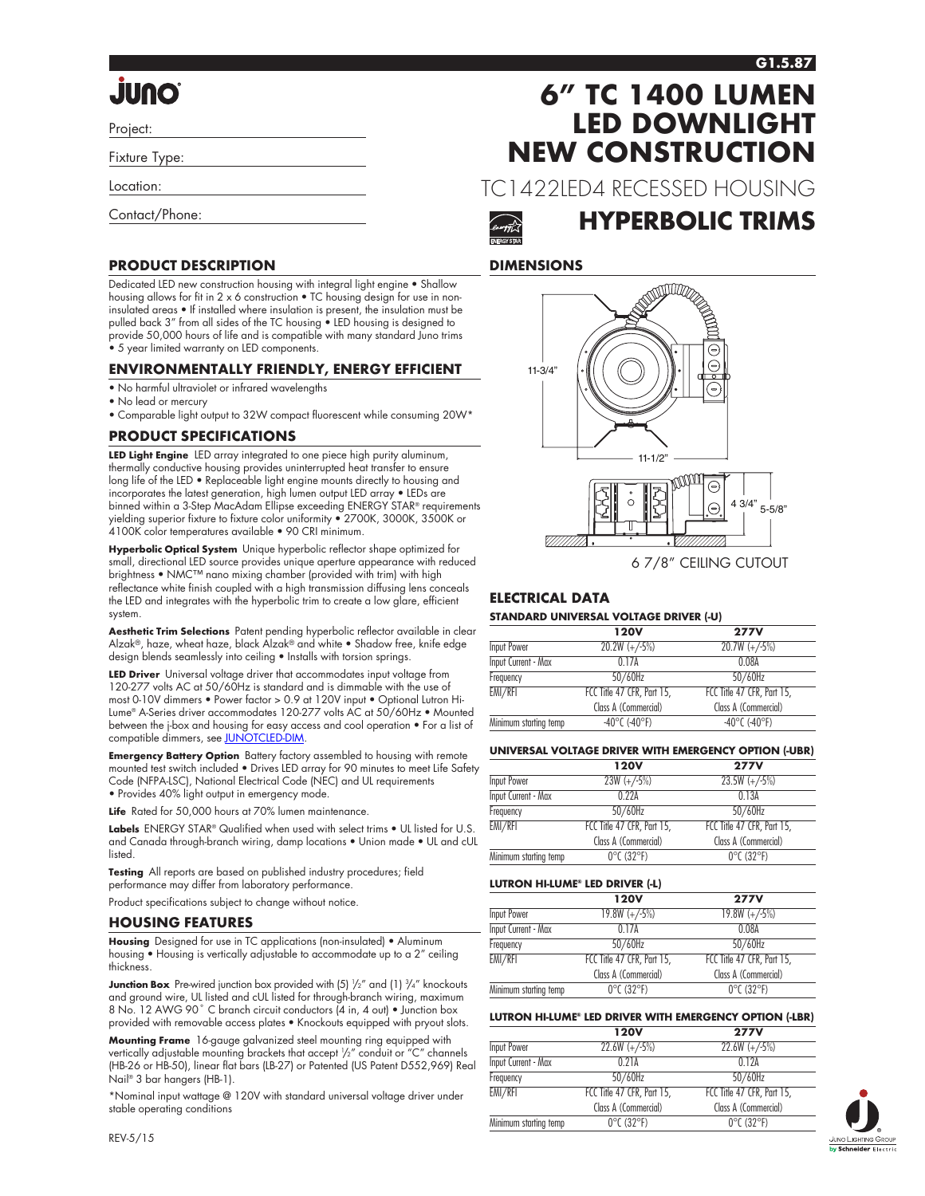### **G1.5.87**

# **Quulu**

Project:

Fixture Type:

Location:

Contact/Phone:

### **PRODUCT DESCRIPTION**

Dedicated LED new construction housing with integral light engine • Shallow housing allows for fit in 2 x 6 construction • TC housing design for use in noninsulated areas • If installed where insulation is present, the insulation must be pulled back 3" from all sides of the TC housing • LED housing is designed to provide 50,000 hours of life and is compatible with many standard Juno trims • 5 year limited warranty on LED components.

### **ENVIRONMENTALLY FRIENDLY, ENERGY EFFICIENT**

- No harmful ultraviolet or infrared wavelengths
- No lead or mercury
- Comparable light output to 32W compact fluorescent while consuming 20W\*

### **PRODUCT SPECIFICATIONS**

**LED Light Engine** LED array integrated to one piece high purity aluminum, thermally conductive housing provides uninterrupted heat transfer to ensure long life of the LED • Replaceable light engine mounts directly to housing and incorporates the latest generation, high lumen output LED array • LEDs are binned within a 3-Step MacAdam Ellipse exceeding ENERGY STAR® requirements yielding superior fixture to fixture color uniformity • 2700K, 3000K, 3500K or 4100K color temperatures available • 90 CRI minimum.

**Hyperbolic Optical System** Unique hyperbolic reflector shape optimized for small, directional LED source provides unique aperture appearance with reduced brightness • NMC™ nano mixing chamber (provided with trim) with high reflectance white finish coupled with a high transmission diffusing lens conceals the LED and integrates with the hyperbolic trim to create a low glare, efficient system.

**Aesthetic Trim Selections** Patent pending hyperbolic reflector available in clear Alzak®, haze, wheat haze, black Alzak® and white • Shadow free, knife edge design blends seamlessly into ceiling • Installs with torsion springs.

**LED Driver** Universal voltage driver that accommodates input voltage from 120-277 volts AC at 50/60Hz is standard and is dimmable with the use of most 0-10V dimmers • Power factor > 0.9 at 120V input • Optional Lutron Hi-Lume® A-Series driver accommodates 120-277 volts AC at 50/60Hz • Mounted between the j-box and housing for easy access and cool operation • For a list of compatible dimmers, see [JUNOTCLED-DIM](http://www.junolightinggroup.com/Attachments/images/content/SpecSheets/JUNOTCLED-DIM.pdf).

**Emergency Battery Option** Battery factory assembled to housing with remote mounted test switch included • Drives LED array for 90 minutes to meet Life Safety Code (NFPA-LSC), National Electrical Code (NEC) and UL requirements • Provides 40% light output in emergency mode.

Life Rated for 50,000 hours at 70% lumen maintenance.

**Labels** ENERGY STAR® Qualified when used with select trims • UL listed for U.S. and Canada through-branch wiring, damp locations • Union made • UL and cUL listed.

**Testing** All reports are based on published industry procedures; field performance may differ from laboratory performance.

Product specifications subject to change without notice.

### **HOUSING FEATURES**

**Housing** Designed for use in TC applications (non-insulated) • Aluminum housing • Housing is vertically adjustable to accommodate up to a 2" ceiling thickness.

**Junction Box** Pre-wired junction box provided with (5)  $\frac{1}{2}$  and (1)  $\frac{3}{4}$  knockouts and ground wire, UL listed and cUL listed for through-branch wiring, maximum 8 No. 12 AWG 90° C branch circuit conductors (4 in, 4 out) • Junction box provided with removable access plates • Knockouts equipped with pryout slots.

**Mounting Frame** 16-gauge galvanized steel mounting ring equipped with vertically adjustable mounting brackets that accept 1 /2" conduit or "C" channels (HB-26 or HB-50), linear flat bars (LB-27) or Patented (US Patent D552,969) Real Nail® 3 bar hangers (HB-1).

\*Nominal input wattage @ 120V with standard universal voltage driver under stable operating conditions

## **6" TC 1400 LUMEN LED DOWNLIGHT NEW CONSTRUCTION**

TC1422LED4 RECESSED HOUSING



### **HYPERBOLIC TRIMS**

### **DIMENSIONS**



6 7/8" CEILING CUTOUT

### **ELECTRICAL DATA**

### **STANDARD UNIVERSAL VOLTAGE DRIVER (-U)**

|                            | <b>120V</b>                | <b>277V</b>                        |
|----------------------------|----------------------------|------------------------------------|
| Input Power                | $20.2W (+/-5%)$            | $20.7W (+/-5%)$                    |
| <b>Input Current - Max</b> | 0 1 7 A                    | 0.08A                              |
| Frequency                  | $50/60$ Hz                 | $50/60$ Hz                         |
| EMI/RFI                    | FCC Title 47 CFR, Part 15, | FCC Title 47 CFR, Part 15,         |
|                            | Class A (Commercial)       | Class A (Commercial)               |
| Minimum starting temp      | $-40^{\circ}$ C (-40°F)    | $-40^{\circ}$ C ( $-40^{\circ}$ F) |

### **UNIVERSAL VOLTAGE DRIVER WITH EMERGENCY OPTION (-UBR)**

|                            | <b>120V</b>                     | <b>277V</b>                     |
|----------------------------|---------------------------------|---------------------------------|
| Input Power                | $23W (+/-5%)$                   | $23.5W (+/-5%)$                 |
| <b>Input Current - Max</b> | 0.224                           | 0.13A                           |
| Frequency                  | 50/60Hz                         | 50/60Hz                         |
| EMI/RFI                    | FCC Title 47 CFR, Part 15,      | FCC Title 47 CFR, Part 15,      |
|                            | Class A (Commercial)            | Class A (Commercial)            |
| Minimum starting temp      | $0^{\circ}$ C (32 $^{\circ}$ F) | $0^{\circ}$ C (32 $^{\circ}$ F) |

#### **LUTRON HI-LUME® LED DRIVER (-L)**

|                            | <b>120V</b>                     | <b>277V</b>                     |
|----------------------------|---------------------------------|---------------------------------|
| Input Power                | $19.8W (+/-5%)$                 | $19.8W (+/-5%)$                 |
| <b>Input Current - Max</b> | 0 1 7 A                         | 0.08A                           |
| Frequency                  | 50/60Hz                         | 50/60Hz                         |
| EMI/RFI                    | FCC Title 47 CFR, Part 15,      | FCC Title 47 CFR, Part 15,      |
|                            | Class A (Commercial)            | Class A (Commercial)            |
| Minimum starting temp      | $0^{\circ}$ C (32 $^{\circ}$ F) | $0^{\circ}$ C (32 $^{\circ}$ F) |

### **LUTRON HI-LUME® LED DRIVER WITH EMERGENCY OPTION (-LBR)**

|                       | <b>120V</b>                     | <b>277V</b>                     |
|-----------------------|---------------------------------|---------------------------------|
| Input Power           | $22.6W (+/-5%)$                 | $22.6W (+/-5%)$                 |
| Input Current - Max   | 0.21A                           | 0.12A                           |
| Frequency             | $50/60$ Hz                      | $50/60$ Hz                      |
| EMI/RFI               | FCC Title 47 CFR, Part 15,      | FCC Title 47 CFR, Part 15,      |
|                       | Class A (Commercial)            | Class A (Commercial)            |
| Minimum starting temp | $0^{\circ}$ C (32 $^{\circ}$ F) | $0^{\circ}$ C (32 $^{\circ}$ F) |